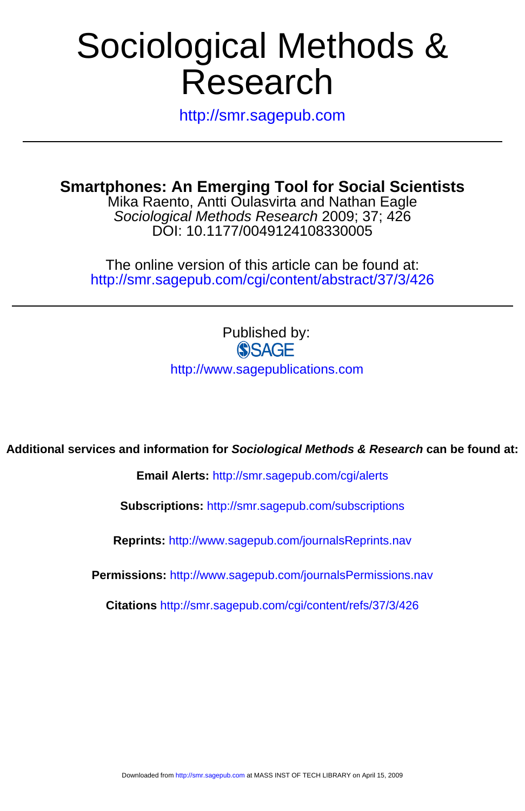# Research Sociological Methods &

http://smr.sagepub.com

### **Smartphones: An Emerging Tool for Social Scientists**

DOI: 10.1177/0049124108330005 Sociological Methods Research 2009; 37; 426 Mika Raento, Antti Oulasvirta and Nathan Eagle

http://smr.sagepub.com/cgi/content/abstract/37/3/426 The online version of this article can be found at:

> Published by: **SSAGE** http://www.sagepublications.com

**Additional services and information for Sociological Methods & Research can be found at:**

**Email Alerts:** <http://smr.sagepub.com/cgi/alerts>

**Subscriptions:** <http://smr.sagepub.com/subscriptions>

**Reprints:** <http://www.sagepub.com/journalsReprints.nav>

**Permissions:** <http://www.sagepub.com/journalsPermissions.nav>

**Citations** <http://smr.sagepub.com/cgi/content/refs/37/3/426>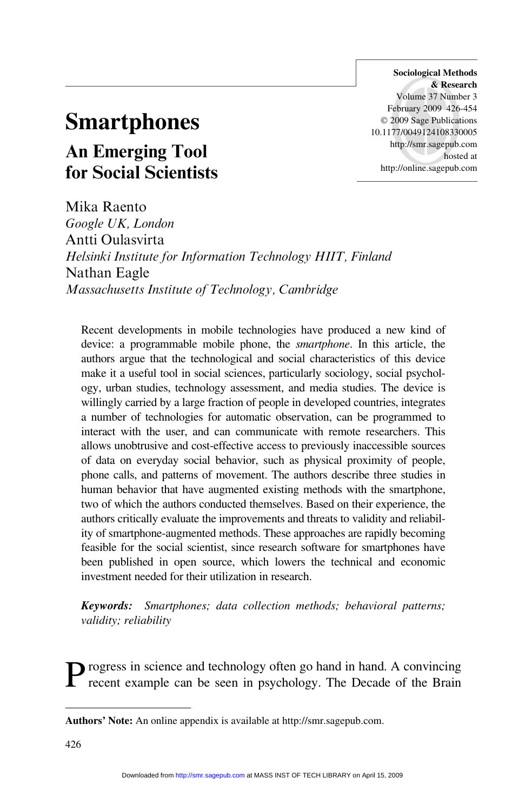Sociological Methods & Research Volume 37 Number 3 February 2009 426-454 © 2009 Sage Publications 10.1177/0049124108330005 http://smr.sagepub.com hosted at http://online.sagepub.com

# **Smartphones**

## An Emerging Tool for Social Scientists

Mika Raento Google UK, London Antti Oulasvirta Helsinki Institute for Information Technology HIIT, Finland Nathan Eagle Massachusetts Institute of Technology, Cambridge

Recent developments in mobile technologies have produced a new kind of device: a programmable mobile phone, the smartphone. In this article, the authors argue that the technological and social characteristics of this device make it a useful tool in social sciences, particularly sociology, social psychology, urban studies, technology assessment, and media studies. The device is willingly carried by a large fraction of people in developed countries, integrates a number of technologies for automatic observation, can be programmed to interact with the user, and can communicate with remote researchers. This allows unobtrusive and cost-effective access to previously inaccessible sources of data on everyday social behavior, such as physical proximity of people, phone calls, and patterns of movement. The authors describe three studies in human behavior that have augmented existing methods with the smartphone, two of which the authors conducted themselves. Based on their experience, the authors critically evaluate the improvements and threats to validity and reliability of smartphone-augmented methods. These approaches are rapidly becoming feasible for the social scientist, since research software for smartphones have been published in open source, which lowers the technical and economic investment needed for their utilization in research.

Keywords: Smartphones; data collection methods; behavioral patterns; validity; reliability

Progress in science and technology often go hand in hand. A convincing recent example can be seen in psychology. The Decade of the Brain

Authors' Note: An online appendix is available at http://smr.sagepub.com.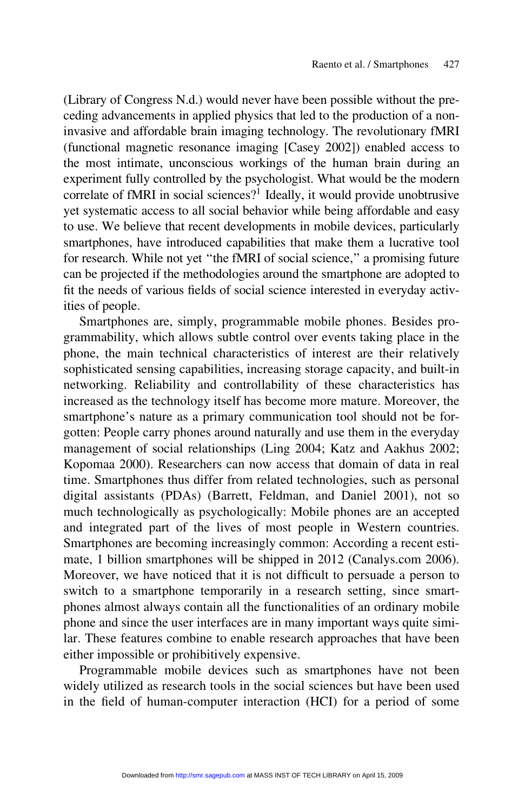(Library of Congress N.d.) would never have been possible without the preceding advancements in applied physics that led to the production of a noninvasive and affordable brain imaging technology. The revolutionary fMRI (functional magnetic resonance imaging [Casey 2002]) enabled access to the most intimate, unconscious workings of the human brain during an experiment fully controlled by the psychologist. What would be the modern correlate of fMRI in social sciences?<sup>1</sup> Ideally, it would provide unobtrusive yet systematic access to all social behavior while being affordable and easy to use. We believe that recent developments in mobile devices, particularly smartphones, have introduced capabilities that make them a lucrative tool for research. While not yet ''the fMRI of social science,'' a promising future can be projected if the methodologies around the smartphone are adopted to fit the needs of various fields of social science interested in everyday activities of people.

Smartphones are, simply, programmable mobile phones. Besides programmability, which allows subtle control over events taking place in the phone, the main technical characteristics of interest are their relatively sophisticated sensing capabilities, increasing storage capacity, and built-in networking. Reliability and controllability of these characteristics has increased as the technology itself has become more mature. Moreover, the smartphone's nature as a primary communication tool should not be forgotten: People carry phones around naturally and use them in the everyday management of social relationships (Ling 2004; Katz and Aakhus 2002; Kopomaa 2000). Researchers can now access that domain of data in real time. Smartphones thus differ from related technologies, such as personal digital assistants (PDAs) (Barrett, Feldman, and Daniel 2001), not so much technologically as psychologically: Mobile phones are an accepted and integrated part of the lives of most people in Western countries. Smartphones are becoming increasingly common: According a recent estimate, 1 billion smartphones will be shipped in 2012 (Canalys.com 2006). Moreover, we have noticed that it is not difficult to persuade a person to switch to a smartphone temporarily in a research setting, since smartphones almost always contain all the functionalities of an ordinary mobile phone and since the user interfaces are in many important ways quite similar. These features combine to enable research approaches that have been either impossible or prohibitively expensive.

Programmable mobile devices such as smartphones have not been widely utilized as research tools in the social sciences but have been used in the field of human-computer interaction (HCI) for a period of some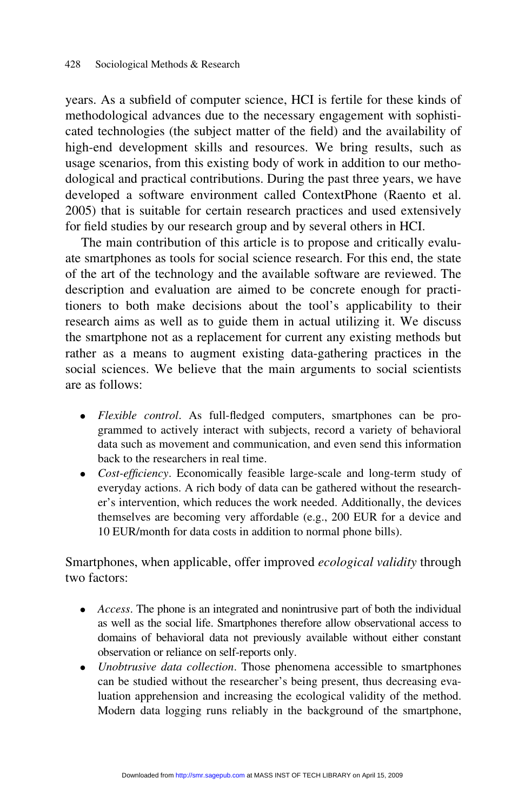years. As a subfield of computer science, HCI is fertile for these kinds of methodological advances due to the necessary engagement with sophisticated technologies (the subject matter of the field) and the availability of high-end development skills and resources. We bring results, such as usage scenarios, from this existing body of work in addition to our methodological and practical contributions. During the past three years, we have developed a software environment called ContextPhone (Raento et al. 2005) that is suitable for certain research practices and used extensively for field studies by our research group and by several others in HCI.

The main contribution of this article is to propose and critically evaluate smartphones as tools for social science research. For this end, the state of the art of the technology and the available software are reviewed. The description and evaluation are aimed to be concrete enough for practitioners to both make decisions about the tool's applicability to their research aims as well as to guide them in actual utilizing it. We discuss the smartphone not as a replacement for current any existing methods but rather as a means to augment existing data-gathering practices in the social sciences. We believe that the main arguments to social scientists are as follows:

- Flexible control. As full-fledged computers, smartphones can be programmed to actively interact with subjects, record a variety of behavioral data such as movement and communication, and even send this information back to the researchers in real time.
- Cost-efficiency. Economically feasible large-scale and long-term study of everyday actions. A rich body of data can be gathered without the researcher's intervention, which reduces the work needed. Additionally, the devices themselves are becoming very affordable (e.g., 200 EUR for a device and 10 EUR/month for data costs in addition to normal phone bills).

Smartphones, when applicable, offer improved ecological validity through two factors:

- Access. The phone is an integrated and nonintrusive part of both the individual as well as the social life. Smartphones therefore allow observational access to domains of behavioral data not previously available without either constant observation or reliance on self-reports only.
- Unobtrusive data collection. Those phenomena accessible to smartphones can be studied without the researcher's being present, thus decreasing evaluation apprehension and increasing the ecological validity of the method. Modern data logging runs reliably in the background of the smartphone,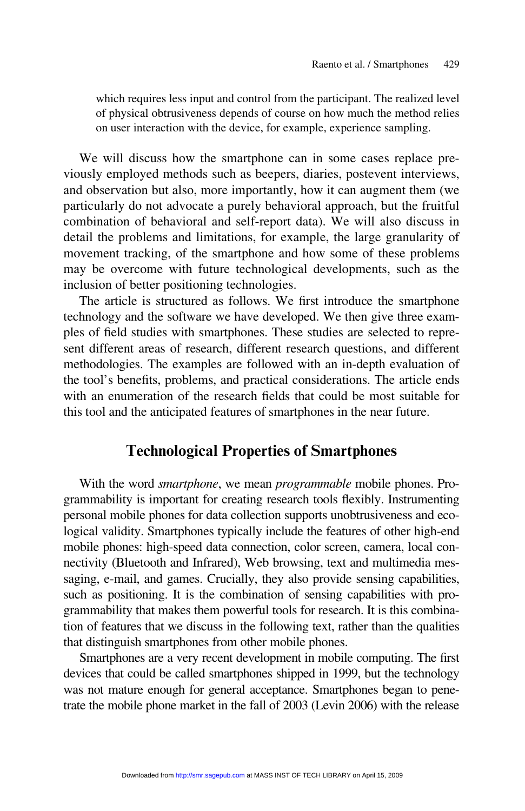which requires less input and control from the participant. The realized level of physical obtrusiveness depends of course on how much the method relies on user interaction with the device, for example, experience sampling.

We will discuss how the smartphone can in some cases replace previously employed methods such as beepers, diaries, postevent interviews, and observation but also, more importantly, how it can augment them (we particularly do not advocate a purely behavioral approach, but the fruitful combination of behavioral and self-report data). We will also discuss in detail the problems and limitations, for example, the large granularity of movement tracking, of the smartphone and how some of these problems may be overcome with future technological developments, such as the inclusion of better positioning technologies.

The article is structured as follows. We first introduce the smartphone technology and the software we have developed. We then give three examples of field studies with smartphones. These studies are selected to represent different areas of research, different research questions, and different methodologies. The examples are followed with an in-depth evaluation of the tool's benefits, problems, and practical considerations. The article ends with an enumeration of the research fields that could be most suitable for this tool and the anticipated features of smartphones in the near future.

#### Technological Properties of Smartphones

With the word *smartphone*, we mean *programmable* mobile phones. Programmability is important for creating research tools flexibly. Instrumenting personal mobile phones for data collection supports unobtrusiveness and ecological validity. Smartphones typically include the features of other high-end mobile phones: high-speed data connection, color screen, camera, local connectivity (Bluetooth and Infrared), Web browsing, text and multimedia messaging, e-mail, and games. Crucially, they also provide sensing capabilities, such as positioning. It is the combination of sensing capabilities with programmability that makes them powerful tools for research. It is this combination of features that we discuss in the following text, rather than the qualities that distinguish smartphones from other mobile phones.

Smartphones are a very recent development in mobile computing. The first devices that could be called smartphones shipped in 1999, but the technology was not mature enough for general acceptance. Smartphones began to penetrate the mobile phone market in the fall of 2003 (Levin 2006) with the release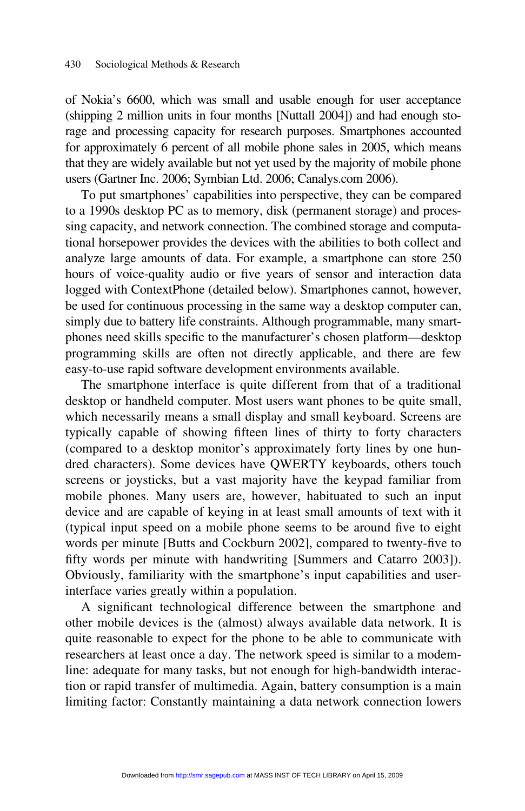of Nokia's 6600, which was small and usable enough for user acceptance (shipping 2 million units in four months [Nuttall 2004]) and had enough storage and processing capacity for research purposes. Smartphones accounted for approximately 6 percent of all mobile phone sales in 2005, which means that they are widely available but not yet used by the majority of mobile phone users (Gartner Inc. 2006; Symbian Ltd. 2006; Canalys.com 2006).

To put smartphones' capabilities into perspective, they can be compared to a 1990s desktop PC as to memory, disk (permanent storage) and processing capacity, and network connection. The combined storage and computational horsepower provides the devices with the abilities to both collect and analyze large amounts of data. For example, a smartphone can store 250 hours of voice-quality audio or five years of sensor and interaction data logged with ContextPhone (detailed below). Smartphones cannot, however, be used for continuous processing in the same way a desktop computer can, simply due to battery life constraints. Although programmable, many smartphones need skills specific to the manufacturer's chosen platform—desktop programming skills are often not directly applicable, and there are few easy-to-use rapid software development environments available.

The smartphone interface is quite different from that of a traditional desktop or handheld computer. Most users want phones to be quite small, which necessarily means a small display and small keyboard. Screens are typically capable of showing fifteen lines of thirty to forty characters (compared to a desktop monitor's approximately forty lines by one hundred characters). Some devices have QWERTY keyboards, others touch screens or joysticks, but a vast majority have the keypad familiar from mobile phones. Many users are, however, habituated to such an input device and are capable of keying in at least small amounts of text with it (typical input speed on a mobile phone seems to be around five to eight words per minute [Butts and Cockburn 2002], compared to twenty-five to fifty words per minute with handwriting [Summers and Catarro 2003]). Obviously, familiarity with the smartphone's input capabilities and userinterface varies greatly within a population.

A significant technological difference between the smartphone and other mobile devices is the (almost) always available data network. It is quite reasonable to expect for the phone to be able to communicate with researchers at least once a day. The network speed is similar to a modemline: adequate for many tasks, but not enough for high-bandwidth interaction or rapid transfer of multimedia. Again, battery consumption is a main limiting factor: Constantly maintaining a data network connection lowers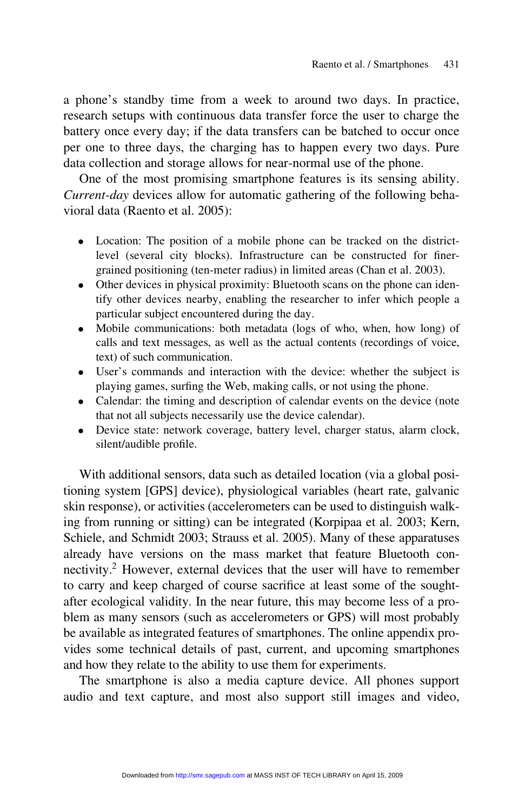a phone's standby time from a week to around two days. In practice, research setups with continuous data transfer force the user to charge the battery once every day; if the data transfers can be batched to occur once per one to three days, the charging has to happen every two days. Pure data collection and storage allows for near-normal use of the phone.

One of the most promising smartphone features is its sensing ability. Current-day devices allow for automatic gathering of the following behavioral data (Raento et al. 2005):

- Location: The position of a mobile phone can be tracked on the districtlevel (several city blocks). Infrastructure can be constructed for finergrained positioning (ten-meter radius) in limited areas (Chan et al. 2003).
- Other devices in physical proximity: Bluetooth scans on the phone can identify other devices nearby, enabling the researcher to infer which people a particular subject encountered during the day.
- Mobile communications: both metadata (logs of who, when, how long) of calls and text messages, as well as the actual contents (recordings of voice, text) of such communication.
- User's commands and interaction with the device: whether the subject is playing games, surfing the Web, making calls, or not using the phone.
- Calendar: the timing and description of calendar events on the device (note that not all subjects necessarily use the device calendar).
- Device state: network coverage, battery level, charger status, alarm clock, silent/audible profile.

With additional sensors, data such as detailed location (via a global positioning system [GPS] device), physiological variables (heart rate, galvanic skin response), or activities (accelerometers can be used to distinguish walking from running or sitting) can be integrated (Korpipaa et al. 2003; Kern, Schiele, and Schmidt 2003; Strauss et al. 2005). Many of these apparatuses already have versions on the mass market that feature Bluetooth connectivity.2 However, external devices that the user will have to remember to carry and keep charged of course sacrifice at least some of the soughtafter ecological validity. In the near future, this may become less of a problem as many sensors (such as accelerometers or GPS) will most probably be available as integrated features of smartphones. The online appendix provides some technical details of past, current, and upcoming smartphones and how they relate to the ability to use them for experiments.

The smartphone is also a media capture device. All phones support audio and text capture, and most also support still images and video,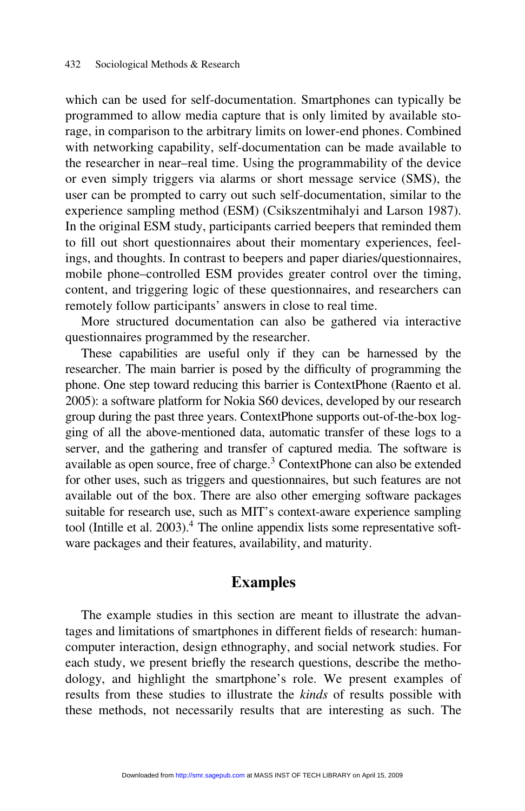which can be used for self-documentation. Smartphones can typically be programmed to allow media capture that is only limited by available storage, in comparison to the arbitrary limits on lower-end phones. Combined with networking capability, self-documentation can be made available to the researcher in near–real time. Using the programmability of the device or even simply triggers via alarms or short message service (SMS), the user can be prompted to carry out such self-documentation, similar to the experience sampling method (ESM) (Csikszentmihalyi and Larson 1987). In the original ESM study, participants carried beepers that reminded them to fill out short questionnaires about their momentary experiences, feelings, and thoughts. In contrast to beepers and paper diaries/questionnaires, mobile phone–controlled ESM provides greater control over the timing, content, and triggering logic of these questionnaires, and researchers can remotely follow participants' answers in close to real time.

More structured documentation can also be gathered via interactive questionnaires programmed by the researcher.

These capabilities are useful only if they can be harnessed by the researcher. The main barrier is posed by the difficulty of programming the phone. One step toward reducing this barrier is ContextPhone (Raento et al. 2005): a software platform for Nokia S60 devices, developed by our research group during the past three years. ContextPhone supports out-of-the-box logging of all the above-mentioned data, automatic transfer of these logs to a server, and the gathering and transfer of captured media. The software is available as open source, free of charge.<sup>3</sup> ContextPhone can also be extended for other uses, such as triggers and questionnaires, but such features are not available out of the box. There are also other emerging software packages suitable for research use, such as MIT's context-aware experience sampling tool (Intille et al.  $2003$ ).<sup>4</sup> The online appendix lists some representative software packages and their features, availability, and maturity.

#### Examples

The example studies in this section are meant to illustrate the advantages and limitations of smartphones in different fields of research: humancomputer interaction, design ethnography, and social network studies. For each study, we present briefly the research questions, describe the methodology, and highlight the smartphone's role. We present examples of results from these studies to illustrate the kinds of results possible with these methods, not necessarily results that are interesting as such. The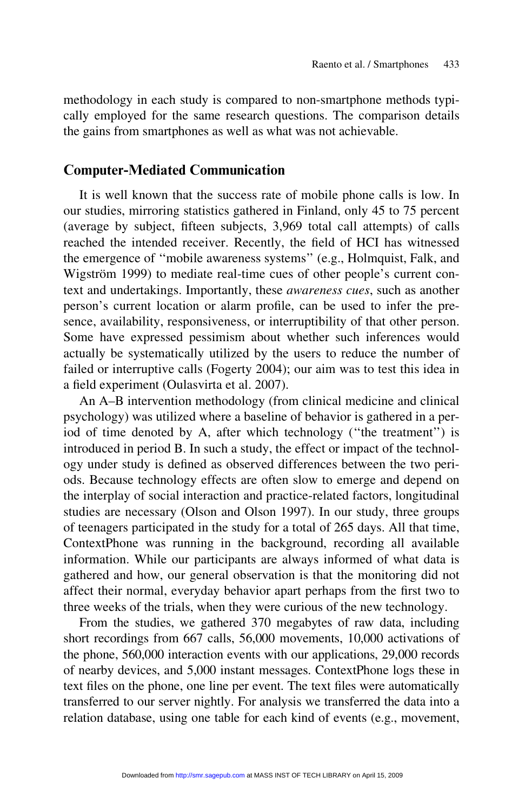methodology in each study is compared to non-smartphone methods typically employed for the same research questions. The comparison details the gains from smartphones as well as what was not achievable.

#### Computer-Mediated Communication

It is well known that the success rate of mobile phone calls is low. In our studies, mirroring statistics gathered in Finland, only 45 to 75 percent (average by subject, fifteen subjects, 3,969 total call attempts) of calls reached the intended receiver. Recently, the field of HCI has witnessed the emergence of ''mobile awareness systems'' (e.g., Holmquist, Falk, and Wigström 1999) to mediate real-time cues of other people's current context and undertakings. Importantly, these awareness cues, such as another person's current location or alarm profile, can be used to infer the presence, availability, responsiveness, or interruptibility of that other person. Some have expressed pessimism about whether such inferences would actually be systematically utilized by the users to reduce the number of failed or interruptive calls (Fogerty 2004); our aim was to test this idea in a field experiment (Oulasvirta et al. 2007).

An A–B intervention methodology (from clinical medicine and clinical psychology) was utilized where a baseline of behavior is gathered in a period of time denoted by A, after which technology (''the treatment'') is introduced in period B. In such a study, the effect or impact of the technology under study is defined as observed differences between the two periods. Because technology effects are often slow to emerge and depend on the interplay of social interaction and practice-related factors, longitudinal studies are necessary (Olson and Olson 1997). In our study, three groups of teenagers participated in the study for a total of 265 days. All that time, ContextPhone was running in the background, recording all available information. While our participants are always informed of what data is gathered and how, our general observation is that the monitoring did not affect their normal, everyday behavior apart perhaps from the first two to three weeks of the trials, when they were curious of the new technology.

From the studies, we gathered 370 megabytes of raw data, including short recordings from 667 calls, 56,000 movements, 10,000 activations of the phone, 560,000 interaction events with our applications, 29,000 records of nearby devices, and 5,000 instant messages. ContextPhone logs these in text files on the phone, one line per event. The text files were automatically transferred to our server nightly. For analysis we transferred the data into a relation database, using one table for each kind of events (e.g., movement,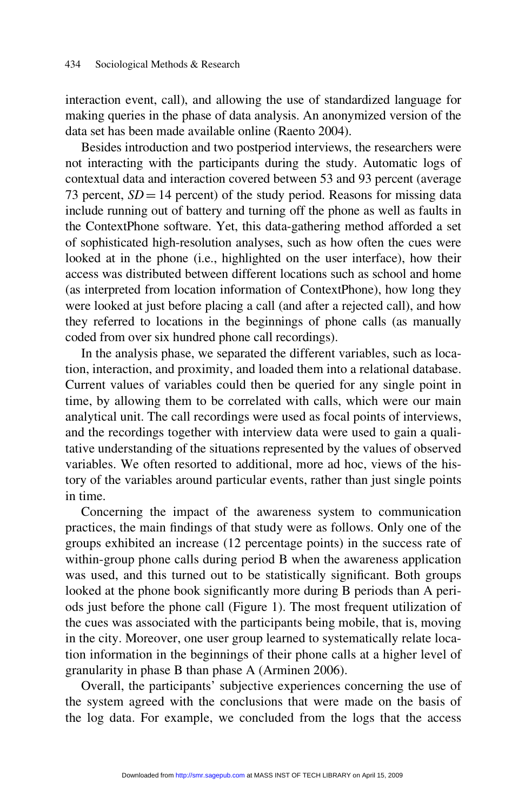interaction event, call), and allowing the use of standardized language for making queries in the phase of data analysis. An anonymized version of the data set has been made available online (Raento 2004).

Besides introduction and two postperiod interviews, the researchers were not interacting with the participants during the study. Automatic logs of contextual data and interaction covered between 53 and 93 percent (average 73 percent,  $SD = 14$  percent) of the study period. Reasons for missing data include running out of battery and turning off the phone as well as faults in the ContextPhone software. Yet, this data-gathering method afforded a set of sophisticated high-resolution analyses, such as how often the cues were looked at in the phone (i.e., highlighted on the user interface), how their access was distributed between different locations such as school and home (as interpreted from location information of ContextPhone), how long they were looked at just before placing a call (and after a rejected call), and how they referred to locations in the beginnings of phone calls (as manually coded from over six hundred phone call recordings).

In the analysis phase, we separated the different variables, such as location, interaction, and proximity, and loaded them into a relational database. Current values of variables could then be queried for any single point in time, by allowing them to be correlated with calls, which were our main analytical unit. The call recordings were used as focal points of interviews, and the recordings together with interview data were used to gain a qualitative understanding of the situations represented by the values of observed variables. We often resorted to additional, more ad hoc, views of the history of the variables around particular events, rather than just single points in time.

Concerning the impact of the awareness system to communication practices, the main findings of that study were as follows. Only one of the groups exhibited an increase (12 percentage points) in the success rate of within-group phone calls during period B when the awareness application was used, and this turned out to be statistically significant. Both groups looked at the phone book significantly more during B periods than A periods just before the phone call (Figure 1). The most frequent utilization of the cues was associated with the participants being mobile, that is, moving in the city. Moreover, one user group learned to systematically relate location information in the beginnings of their phone calls at a higher level of granularity in phase B than phase A (Arminen 2006).

Overall, the participants' subjective experiences concerning the use of the system agreed with the conclusions that were made on the basis of the log data. For example, we concluded from the logs that the access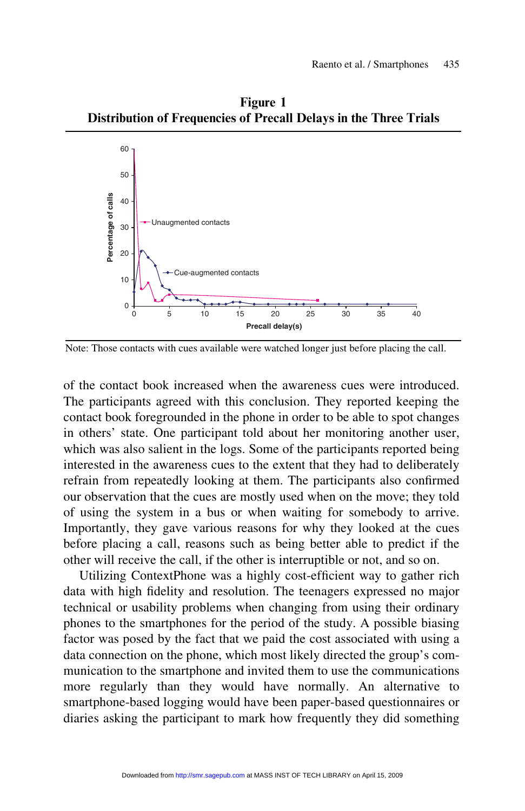Figure 1 Distribution of Frequencies of Precall Delays in the Three Trials



Note: Those contacts with cues available were watched longer just before placing the call.

of the contact book increased when the awareness cues were introduced. The participants agreed with this conclusion. They reported keeping the contact book foregrounded in the phone in order to be able to spot changes in others' state. One participant told about her monitoring another user, which was also salient in the logs. Some of the participants reported being interested in the awareness cues to the extent that they had to deliberately refrain from repeatedly looking at them. The participants also confirmed our observation that the cues are mostly used when on the move; they told of using the system in a bus or when waiting for somebody to arrive. Importantly, they gave various reasons for why they looked at the cues before placing a call, reasons such as being better able to predict if the other will receive the call, if the other is interruptible or not, and so on.

Utilizing ContextPhone was a highly cost-efficient way to gather rich data with high fidelity and resolution. The teenagers expressed no major technical or usability problems when changing from using their ordinary phones to the smartphones for the period of the study. A possible biasing factor was posed by the fact that we paid the cost associated with using a data connection on the phone, which most likely directed the group's communication to the smartphone and invited them to use the communications more regularly than they would have normally. An alternative to smartphone-based logging would have been paper-based questionnaires or diaries asking the participant to mark how frequently they did something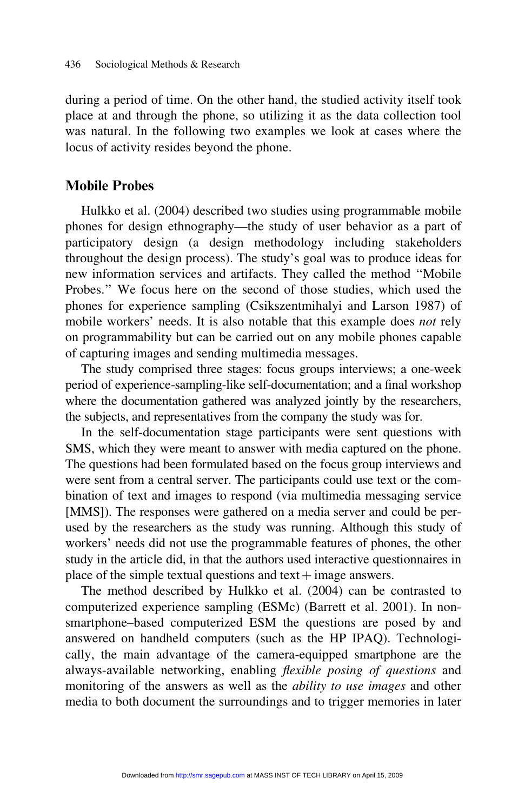during a period of time. On the other hand, the studied activity itself took place at and through the phone, so utilizing it as the data collection tool was natural. In the following two examples we look at cases where the locus of activity resides beyond the phone.

#### Mobile Probes

Hulkko et al. (2004) described two studies using programmable mobile phones for design ethnography—the study of user behavior as a part of participatory design (a design methodology including stakeholders throughout the design process). The study's goal was to produce ideas for new information services and artifacts. They called the method ''Mobile Probes.'' We focus here on the second of those studies, which used the phones for experience sampling (Csikszentmihalyi and Larson 1987) of mobile workers' needs. It is also notable that this example does not rely on programmability but can be carried out on any mobile phones capable of capturing images and sending multimedia messages.

The study comprised three stages: focus groups interviews; a one-week period of experience-sampling-like self-documentation; and a final workshop where the documentation gathered was analyzed jointly by the researchers, the subjects, and representatives from the company the study was for.

In the self-documentation stage participants were sent questions with SMS, which they were meant to answer with media captured on the phone. The questions had been formulated based on the focus group interviews and were sent from a central server. The participants could use text or the combination of text and images to respond (via multimedia messaging service [MMS]). The responses were gathered on a media server and could be perused by the researchers as the study was running. Although this study of workers' needs did not use the programmable features of phones, the other study in the article did, in that the authors used interactive questionnaires in place of the simple textual questions and text  $+$  image answers.

The method described by Hulkko et al. (2004) can be contrasted to computerized experience sampling (ESMc) (Barrett et al. 2001). In nonsmartphone–based computerized ESM the questions are posed by and answered on handheld computers (such as the HP IPAQ). Technologically, the main advantage of the camera-equipped smartphone are the always-available networking, enabling flexible posing of questions and monitoring of the answers as well as the ability to use images and other media to both document the surroundings and to trigger memories in later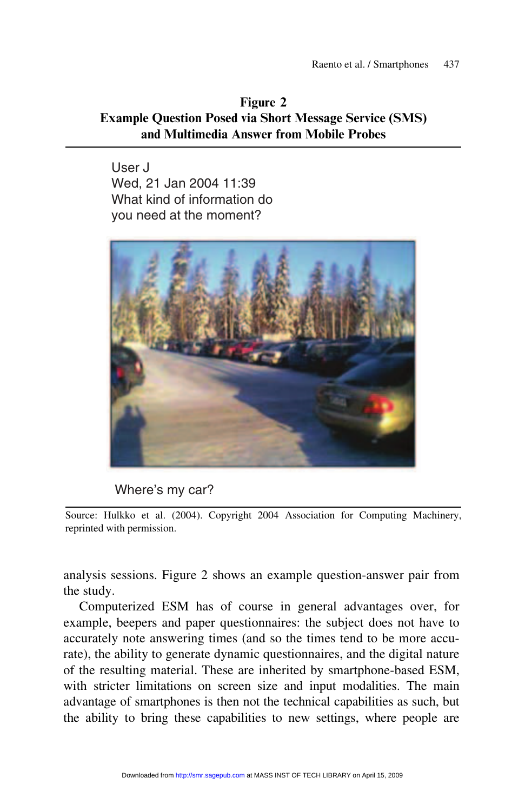#### Figure 2 Example Question Posed via Short Message Service (SMS) and Multimedia Answer from Mobile Probes

User J Wed, 21 Jan 2004 11:39 What kind of information do you need at the moment?



#### Where's my car?

Source: Hulkko et al. (2004). Copyright 2004 Association for Computing Machinery, reprinted with permission.

analysis sessions. Figure 2 shows an example question-answer pair from the study.

Computerized ESM has of course in general advantages over, for example, beepers and paper questionnaires: the subject does not have to accurately note answering times (and so the times tend to be more accurate), the ability to generate dynamic questionnaires, and the digital nature of the resulting material. These are inherited by smartphone-based ESM, with stricter limitations on screen size and input modalities. The main advantage of smartphones is then not the technical capabilities as such, but the ability to bring these capabilities to new settings, where people are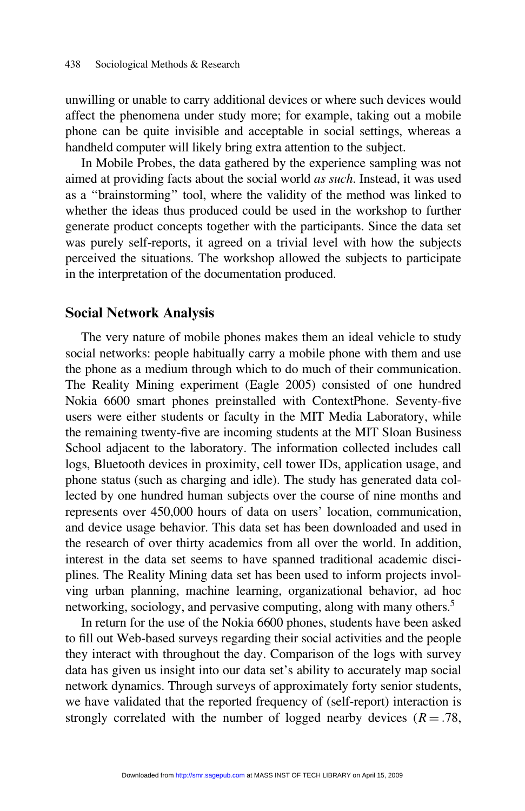unwilling or unable to carry additional devices or where such devices would affect the phenomena under study more; for example, taking out a mobile phone can be quite invisible and acceptable in social settings, whereas a handheld computer will likely bring extra attention to the subject.

In Mobile Probes, the data gathered by the experience sampling was not aimed at providing facts about the social world as such. Instead, it was used as a ''brainstorming'' tool, where the validity of the method was linked to whether the ideas thus produced could be used in the workshop to further generate product concepts together with the participants. Since the data set was purely self-reports, it agreed on a trivial level with how the subjects perceived the situations. The workshop allowed the subjects to participate in the interpretation of the documentation produced.

#### Social Network Analysis

The very nature of mobile phones makes them an ideal vehicle to study social networks: people habitually carry a mobile phone with them and use the phone as a medium through which to do much of their communication. The Reality Mining experiment (Eagle 2005) consisted of one hundred Nokia 6600 smart phones preinstalled with ContextPhone. Seventy-five users were either students or faculty in the MIT Media Laboratory, while the remaining twenty-five are incoming students at the MIT Sloan Business School adjacent to the laboratory. The information collected includes call logs, Bluetooth devices in proximity, cell tower IDs, application usage, and phone status (such as charging and idle). The study has generated data collected by one hundred human subjects over the course of nine months and represents over 450,000 hours of data on users' location, communication, and device usage behavior. This data set has been downloaded and used in the research of over thirty academics from all over the world. In addition, interest in the data set seems to have spanned traditional academic disciplines. The Reality Mining data set has been used to inform projects involving urban planning, machine learning, organizational behavior, ad hoc networking, sociology, and pervasive computing, along with many others.<sup>5</sup>

In return for the use of the Nokia 6600 phones, students have been asked to fill out Web-based surveys regarding their social activities and the people they interact with throughout the day. Comparison of the logs with survey data has given us insight into our data set's ability to accurately map social network dynamics. Through surveys of approximately forty senior students, we have validated that the reported frequency of (self-report) interaction is strongly correlated with the number of logged nearby devices ( $R = .78$ ,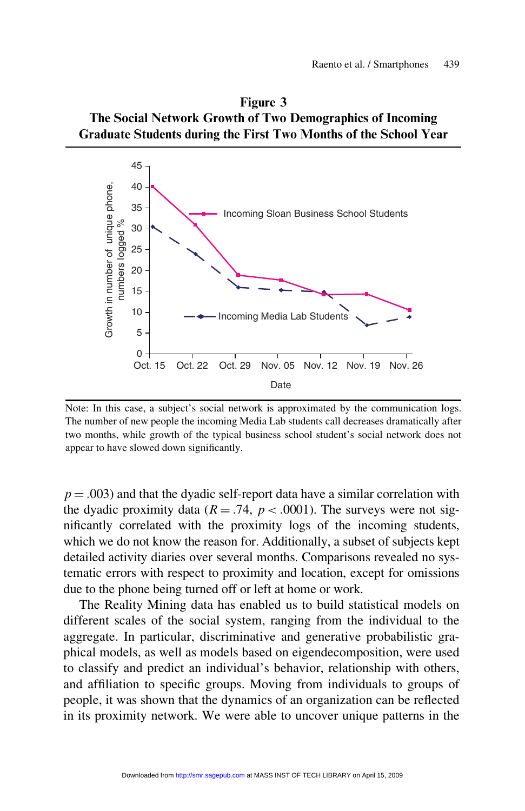



Note: In this case, a subject's social network is approximated by the communication logs. The number of new people the incoming Media Lab students call decreases dramatically after two months, while growth of the typical business school student's social network does not appear to have slowed down significantly.

 $p = .003$ ) and that the dyadic self-report data have a similar correlation with the dyadic proximity data ( $R = .74$ ,  $p < .0001$ ). The surveys were not significantly correlated with the proximity logs of the incoming students, which we do not know the reason for. Additionally, a subset of subjects kept detailed activity diaries over several months. Comparisons revealed no systematic errors with respect to proximity and location, except for omissions due to the phone being turned off or left at home or work.

The Reality Mining data has enabled us to build statistical models on different scales of the social system, ranging from the individual to the aggregate. In particular, discriminative and generative probabilistic graphical models, as well as models based on eigendecomposition, were used to classify and predict an individual's behavior, relationship with others, and affiliation to specific groups. Moving from individuals to groups of people, it was shown that the dynamics of an organization can be reflected in its proximity network. We were able to uncover unique patterns in the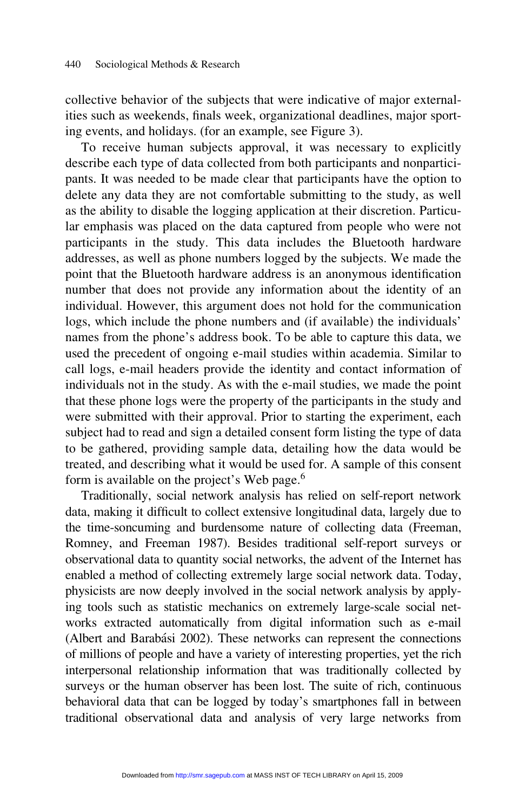collective behavior of the subjects that were indicative of major externalities such as weekends, finals week, organizational deadlines, major sporting events, and holidays. (for an example, see Figure 3).

To receive human subjects approval, it was necessary to explicitly describe each type of data collected from both participants and nonparticipants. It was needed to be made clear that participants have the option to delete any data they are not comfortable submitting to the study, as well as the ability to disable the logging application at their discretion. Particular emphasis was placed on the data captured from people who were not participants in the study. This data includes the Bluetooth hardware addresses, as well as phone numbers logged by the subjects. We made the point that the Bluetooth hardware address is an anonymous identification number that does not provide any information about the identity of an individual. However, this argument does not hold for the communication logs, which include the phone numbers and (if available) the individuals' names from the phone's address book. To be able to capture this data, we used the precedent of ongoing e-mail studies within academia. Similar to call logs, e-mail headers provide the identity and contact information of individuals not in the study. As with the e-mail studies, we made the point that these phone logs were the property of the participants in the study and were submitted with their approval. Prior to starting the experiment, each subject had to read and sign a detailed consent form listing the type of data to be gathered, providing sample data, detailing how the data would be treated, and describing what it would be used for. A sample of this consent form is available on the project's Web page.<sup>6</sup>

Traditionally, social network analysis has relied on self-report network data, making it difficult to collect extensive longitudinal data, largely due to the time-soncuming and burdensome nature of collecting data (Freeman, Romney, and Freeman 1987). Besides traditional self-report surveys or observational data to quantity social networks, the advent of the Internet has enabled a method of collecting extremely large social network data. Today, physicists are now deeply involved in the social network analysis by applying tools such as statistic mechanics on extremely large-scale social networks extracted automatically from digital information such as e-mail (Albert and Barabási 2002). These networks can represent the connections of millions of people and have a variety of interesting properties, yet the rich interpersonal relationship information that was traditionally collected by surveys or the human observer has been lost. The suite of rich, continuous behavioral data that can be logged by today's smartphones fall in between traditional observational data and analysis of very large networks from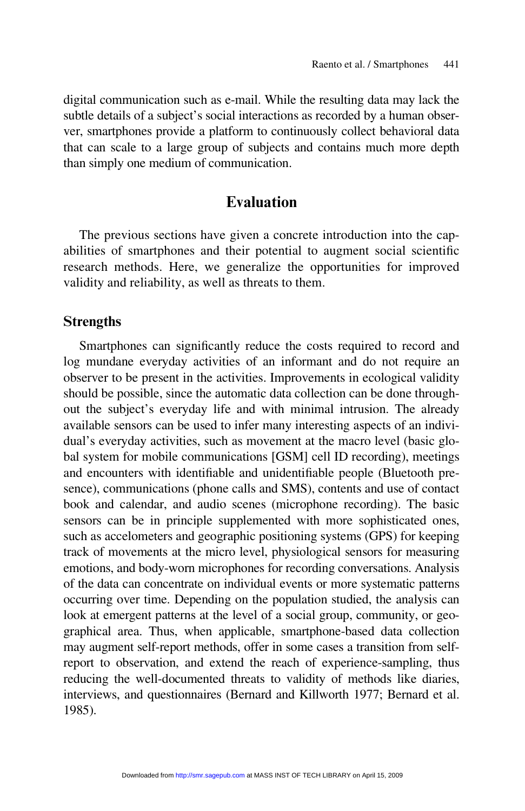digital communication such as e-mail. While the resulting data may lack the subtle details of a subject's social interactions as recorded by a human observer, smartphones provide a platform to continuously collect behavioral data that can scale to a large group of subjects and contains much more depth than simply one medium of communication.

#### Evaluation

The previous sections have given a concrete introduction into the capabilities of smartphones and their potential to augment social scientific research methods. Here, we generalize the opportunities for improved validity and reliability, as well as threats to them.

#### **Strengths**

Smartphones can significantly reduce the costs required to record and log mundane everyday activities of an informant and do not require an observer to be present in the activities. Improvements in ecological validity should be possible, since the automatic data collection can be done throughout the subject's everyday life and with minimal intrusion. The already available sensors can be used to infer many interesting aspects of an individual's everyday activities, such as movement at the macro level (basic global system for mobile communications [GSM] cell ID recording), meetings and encounters with identifiable and unidentifiable people (Bluetooth presence), communications (phone calls and SMS), contents and use of contact book and calendar, and audio scenes (microphone recording). The basic sensors can be in principle supplemented with more sophisticated ones, such as accelometers and geographic positioning systems (GPS) for keeping track of movements at the micro level, physiological sensors for measuring emotions, and body-worn microphones for recording conversations. Analysis of the data can concentrate on individual events or more systematic patterns occurring over time. Depending on the population studied, the analysis can look at emergent patterns at the level of a social group, community, or geographical area. Thus, when applicable, smartphone-based data collection may augment self-report methods, offer in some cases a transition from selfreport to observation, and extend the reach of experience-sampling, thus reducing the well-documented threats to validity of methods like diaries, interviews, and questionnaires (Bernard and Killworth 1977; Bernard et al. 1985).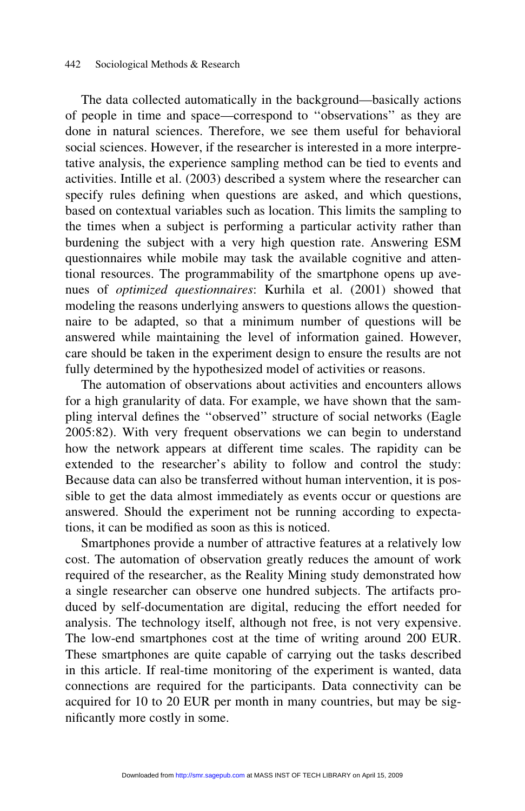The data collected automatically in the background—basically actions of people in time and space—correspond to ''observations'' as they are done in natural sciences. Therefore, we see them useful for behavioral social sciences. However, if the researcher is interested in a more interpretative analysis, the experience sampling method can be tied to events and activities. Intille et al. (2003) described a system where the researcher can specify rules defining when questions are asked, and which questions, based on contextual variables such as location. This limits the sampling to the times when a subject is performing a particular activity rather than burdening the subject with a very high question rate. Answering ESM questionnaires while mobile may task the available cognitive and attentional resources. The programmability of the smartphone opens up avenues of optimized questionnaires: Kurhila et al. (2001) showed that modeling the reasons underlying answers to questions allows the questionnaire to be adapted, so that a minimum number of questions will be answered while maintaining the level of information gained. However, care should be taken in the experiment design to ensure the results are not fully determined by the hypothesized model of activities or reasons.

The automation of observations about activities and encounters allows for a high granularity of data. For example, we have shown that the sampling interval defines the ''observed'' structure of social networks (Eagle 2005:82). With very frequent observations we can begin to understand how the network appears at different time scales. The rapidity can be extended to the researcher's ability to follow and control the study: Because data can also be transferred without human intervention, it is possible to get the data almost immediately as events occur or questions are answered. Should the experiment not be running according to expectations, it can be modified as soon as this is noticed.

Smartphones provide a number of attractive features at a relatively low cost. The automation of observation greatly reduces the amount of work required of the researcher, as the Reality Mining study demonstrated how a single researcher can observe one hundred subjects. The artifacts produced by self-documentation are digital, reducing the effort needed for analysis. The technology itself, although not free, is not very expensive. The low-end smartphones cost at the time of writing around 200 EUR. These smartphones are quite capable of carrying out the tasks described in this article. If real-time monitoring of the experiment is wanted, data connections are required for the participants. Data connectivity can be acquired for 10 to 20 EUR per month in many countries, but may be significantly more costly in some.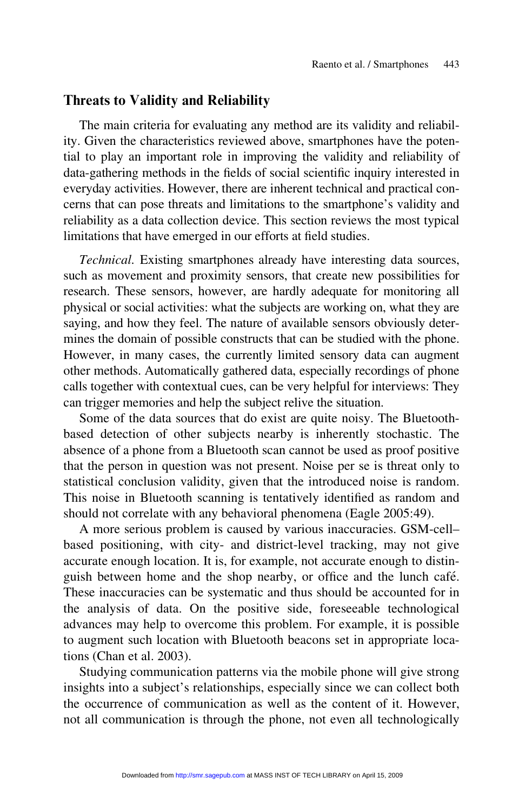#### Threats to Validity and Reliability

The main criteria for evaluating any method are its validity and reliability. Given the characteristics reviewed above, smartphones have the potential to play an important role in improving the validity and reliability of data-gathering methods in the fields of social scientific inquiry interested in everyday activities. However, there are inherent technical and practical concerns that can pose threats and limitations to the smartphone's validity and reliability as a data collection device. This section reviews the most typical limitations that have emerged in our efforts at field studies.

Technical. Existing smartphones already have interesting data sources, such as movement and proximity sensors, that create new possibilities for research. These sensors, however, are hardly adequate for monitoring all physical or social activities: what the subjects are working on, what they are saying, and how they feel. The nature of available sensors obviously determines the domain of possible constructs that can be studied with the phone. However, in many cases, the currently limited sensory data can augment other methods. Automatically gathered data, especially recordings of phone calls together with contextual cues, can be very helpful for interviews: They can trigger memories and help the subject relive the situation.

Some of the data sources that do exist are quite noisy. The Bluetoothbased detection of other subjects nearby is inherently stochastic. The absence of a phone from a Bluetooth scan cannot be used as proof positive that the person in question was not present. Noise per se is threat only to statistical conclusion validity, given that the introduced noise is random. This noise in Bluetooth scanning is tentatively identified as random and should not correlate with any behavioral phenomena (Eagle 2005:49).

A more serious problem is caused by various inaccuracies. GSM-cell– based positioning, with city- and district-level tracking, may not give accurate enough location. It is, for example, not accurate enough to distinguish between home and the shop nearby, or office and the lunch café. These inaccuracies can be systematic and thus should be accounted for in the analysis of data. On the positive side, foreseeable technological advances may help to overcome this problem. For example, it is possible to augment such location with Bluetooth beacons set in appropriate locations (Chan et al. 2003).

Studying communication patterns via the mobile phone will give strong insights into a subject's relationships, especially since we can collect both the occurrence of communication as well as the content of it. However, not all communication is through the phone, not even all technologically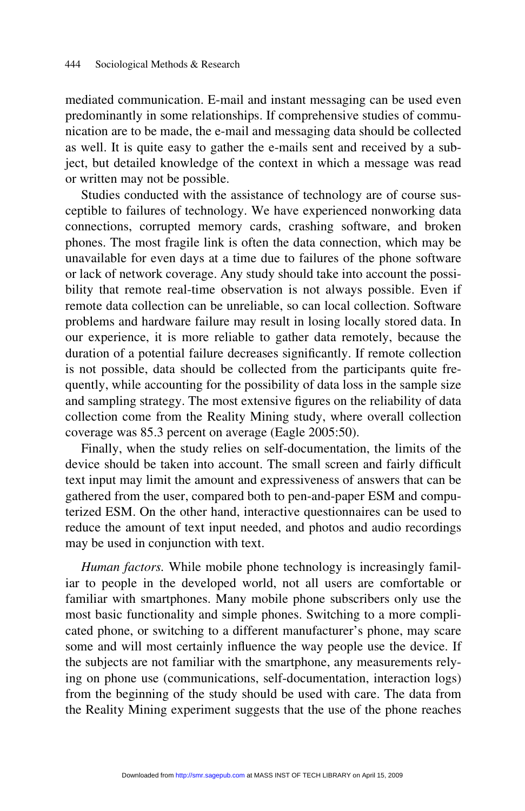mediated communication. E-mail and instant messaging can be used even predominantly in some relationships. If comprehensive studies of communication are to be made, the e-mail and messaging data should be collected as well. It is quite easy to gather the e-mails sent and received by a subject, but detailed knowledge of the context in which a message was read or written may not be possible.

Studies conducted with the assistance of technology are of course susceptible to failures of technology. We have experienced nonworking data connections, corrupted memory cards, crashing software, and broken phones. The most fragile link is often the data connection, which may be unavailable for even days at a time due to failures of the phone software or lack of network coverage. Any study should take into account the possibility that remote real-time observation is not always possible. Even if remote data collection can be unreliable, so can local collection. Software problems and hardware failure may result in losing locally stored data. In our experience, it is more reliable to gather data remotely, because the duration of a potential failure decreases significantly. If remote collection is not possible, data should be collected from the participants quite frequently, while accounting for the possibility of data loss in the sample size and sampling strategy. The most extensive figures on the reliability of data collection come from the Reality Mining study, where overall collection coverage was 85.3 percent on average (Eagle 2005:50).

Finally, when the study relies on self-documentation, the limits of the device should be taken into account. The small screen and fairly difficult text input may limit the amount and expressiveness of answers that can be gathered from the user, compared both to pen-and-paper ESM and computerized ESM. On the other hand, interactive questionnaires can be used to reduce the amount of text input needed, and photos and audio recordings may be used in conjunction with text.

Human factors. While mobile phone technology is increasingly familiar to people in the developed world, not all users are comfortable or familiar with smartphones. Many mobile phone subscribers only use the most basic functionality and simple phones. Switching to a more complicated phone, or switching to a different manufacturer's phone, may scare some and will most certainly influence the way people use the device. If the subjects are not familiar with the smartphone, any measurements relying on phone use (communications, self-documentation, interaction logs) from the beginning of the study should be used with care. The data from the Reality Mining experiment suggests that the use of the phone reaches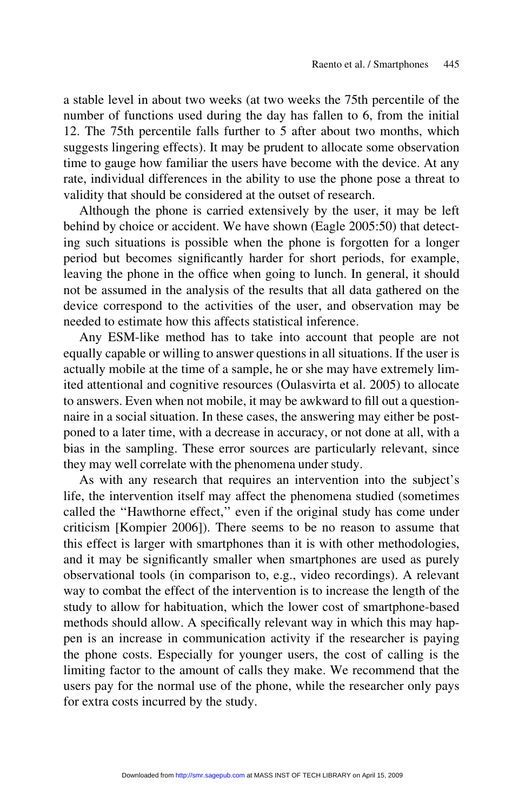a stable level in about two weeks (at two weeks the 75th percentile of the number of functions used during the day has fallen to 6, from the initial 12. The 75th percentile falls further to 5 after about two months, which suggests lingering effects). It may be prudent to allocate some observation time to gauge how familiar the users have become with the device. At any rate, individual differences in the ability to use the phone pose a threat to validity that should be considered at the outset of research.

Although the phone is carried extensively by the user, it may be left behind by choice or accident. We have shown (Eagle 2005:50) that detecting such situations is possible when the phone is forgotten for a longer period but becomes significantly harder for short periods, for example, leaving the phone in the office when going to lunch. In general, it should not be assumed in the analysis of the results that all data gathered on the device correspond to the activities of the user, and observation may be needed to estimate how this affects statistical inference.

Any ESM-like method has to take into account that people are not equally capable or willing to answer questions in all situations. If the user is actually mobile at the time of a sample, he or she may have extremely limited attentional and cognitive resources (Oulasvirta et al. 2005) to allocate to answers. Even when not mobile, it may be awkward to fill out a questionnaire in a social situation. In these cases, the answering may either be postponed to a later time, with a decrease in accuracy, or not done at all, with a bias in the sampling. These error sources are particularly relevant, since they may well correlate with the phenomena under study.

As with any research that requires an intervention into the subject's life, the intervention itself may affect the phenomena studied (sometimes called the ''Hawthorne effect,'' even if the original study has come under criticism [Kompier 2006]). There seems to be no reason to assume that this effect is larger with smartphones than it is with other methodologies, and it may be significantly smaller when smartphones are used as purely observational tools (in comparison to, e.g., video recordings). A relevant way to combat the effect of the intervention is to increase the length of the study to allow for habituation, which the lower cost of smartphone-based methods should allow. A specifically relevant way in which this may happen is an increase in communication activity if the researcher is paying the phone costs. Especially for younger users, the cost of calling is the limiting factor to the amount of calls they make. We recommend that the users pay for the normal use of the phone, while the researcher only pays for extra costs incurred by the study.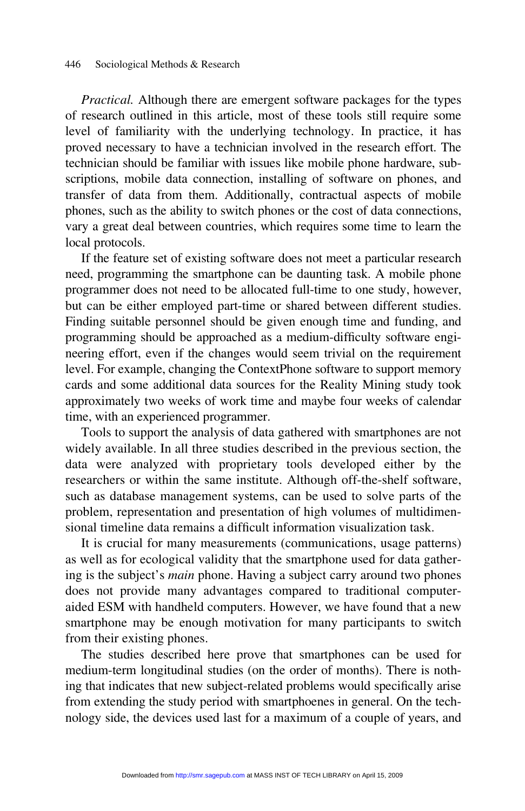Practical. Although there are emergent software packages for the types of research outlined in this article, most of these tools still require some level of familiarity with the underlying technology. In practice, it has proved necessary to have a technician involved in the research effort. The technician should be familiar with issues like mobile phone hardware, subscriptions, mobile data connection, installing of software on phones, and transfer of data from them. Additionally, contractual aspects of mobile phones, such as the ability to switch phones or the cost of data connections, vary a great deal between countries, which requires some time to learn the local protocols.

If the feature set of existing software does not meet a particular research need, programming the smartphone can be daunting task. A mobile phone programmer does not need to be allocated full-time to one study, however, but can be either employed part-time or shared between different studies. Finding suitable personnel should be given enough time and funding, and programming should be approached as a medium-difficulty software engineering effort, even if the changes would seem trivial on the requirement level. For example, changing the ContextPhone software to support memory cards and some additional data sources for the Reality Mining study took approximately two weeks of work time and maybe four weeks of calendar time, with an experienced programmer.

Tools to support the analysis of data gathered with smartphones are not widely available. In all three studies described in the previous section, the data were analyzed with proprietary tools developed either by the researchers or within the same institute. Although off-the-shelf software, such as database management systems, can be used to solve parts of the problem, representation and presentation of high volumes of multidimensional timeline data remains a difficult information visualization task.

It is crucial for many measurements (communications, usage patterns) as well as for ecological validity that the smartphone used for data gathering is the subject's main phone. Having a subject carry around two phones does not provide many advantages compared to traditional computeraided ESM with handheld computers. However, we have found that a new smartphone may be enough motivation for many participants to switch from their existing phones.

The studies described here prove that smartphones can be used for medium-term longitudinal studies (on the order of months). There is nothing that indicates that new subject-related problems would specifically arise from extending the study period with smartphoenes in general. On the technology side, the devices used last for a maximum of a couple of years, and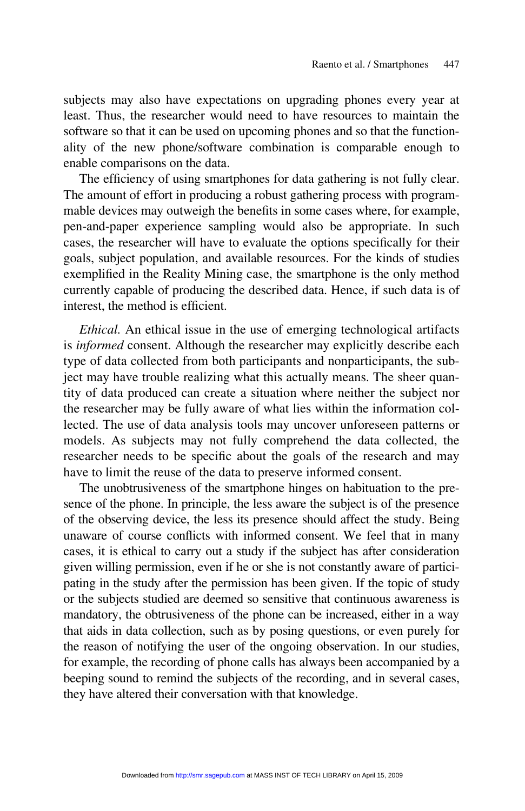subjects may also have expectations on upgrading phones every year at least. Thus, the researcher would need to have resources to maintain the software so that it can be used on upcoming phones and so that the functionality of the new phone/software combination is comparable enough to enable comparisons on the data.

The efficiency of using smartphones for data gathering is not fully clear. The amount of effort in producing a robust gathering process with programmable devices may outweigh the benefits in some cases where, for example, pen-and-paper experience sampling would also be appropriate. In such cases, the researcher will have to evaluate the options specifically for their goals, subject population, and available resources. For the kinds of studies exemplified in the Reality Mining case, the smartphone is the only method currently capable of producing the described data. Hence, if such data is of interest, the method is efficient.

Ethical. An ethical issue in the use of emerging technological artifacts is informed consent. Although the researcher may explicitly describe each type of data collected from both participants and nonparticipants, the subject may have trouble realizing what this actually means. The sheer quantity of data produced can create a situation where neither the subject nor the researcher may be fully aware of what lies within the information collected. The use of data analysis tools may uncover unforeseen patterns or models. As subjects may not fully comprehend the data collected, the researcher needs to be specific about the goals of the research and may have to limit the reuse of the data to preserve informed consent.

The unobtrusiveness of the smartphone hinges on habituation to the presence of the phone. In principle, the less aware the subject is of the presence of the observing device, the less its presence should affect the study. Being unaware of course conflicts with informed consent. We feel that in many cases, it is ethical to carry out a study if the subject has after consideration given willing permission, even if he or she is not constantly aware of participating in the study after the permission has been given. If the topic of study or the subjects studied are deemed so sensitive that continuous awareness is mandatory, the obtrusiveness of the phone can be increased, either in a way that aids in data collection, such as by posing questions, or even purely for the reason of notifying the user of the ongoing observation. In our studies, for example, the recording of phone calls has always been accompanied by a beeping sound to remind the subjects of the recording, and in several cases, they have altered their conversation with that knowledge.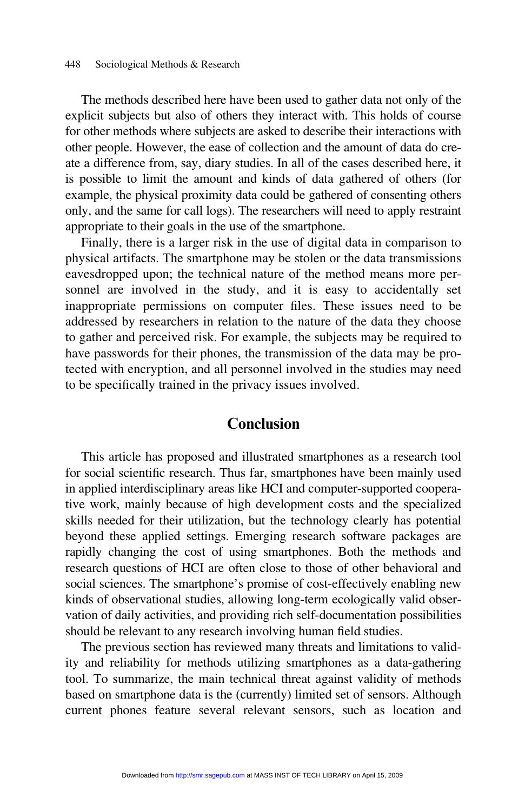The methods described here have been used to gather data not only of the explicit subjects but also of others they interact with. This holds of course for other methods where subjects are asked to describe their interactions with other people. However, the ease of collection and the amount of data do create a difference from, say, diary studies. In all of the cases described here, it is possible to limit the amount and kinds of data gathered of others (for example, the physical proximity data could be gathered of consenting others only, and the same for call logs). The researchers will need to apply restraint appropriate to their goals in the use of the smartphone.

Finally, there is a larger risk in the use of digital data in comparison to physical artifacts. The smartphone may be stolen or the data transmissions eavesdropped upon; the technical nature of the method means more personnel are involved in the study, and it is easy to accidentally set inappropriate permissions on computer files. These issues need to be addressed by researchers in relation to the nature of the data they choose to gather and perceived risk. For example, the subjects may be required to have passwords for their phones, the transmission of the data may be protected with encryption, and all personnel involved in the studies may need to be specifically trained in the privacy issues involved.

#### Conclusion

This article has proposed and illustrated smartphones as a research tool for social scientific research. Thus far, smartphones have been mainly used in applied interdisciplinary areas like HCI and computer-supported cooperative work, mainly because of high development costs and the specialized skills needed for their utilization, but the technology clearly has potential beyond these applied settings. Emerging research software packages are rapidly changing the cost of using smartphones. Both the methods and research questions of HCI are often close to those of other behavioral and social sciences. The smartphone's promise of cost-effectively enabling new kinds of observational studies, allowing long-term ecologically valid observation of daily activities, and providing rich self-documentation possibilities should be relevant to any research involving human field studies.

The previous section has reviewed many threats and limitations to validity and reliability for methods utilizing smartphones as a data-gathering tool. To summarize, the main technical threat against validity of methods based on smartphone data is the (currently) limited set of sensors. Although current phones feature several relevant sensors, such as location and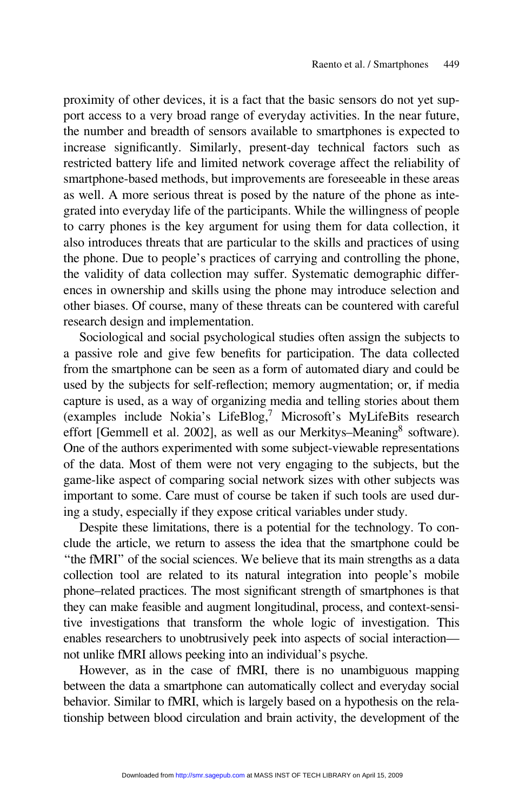proximity of other devices, it is a fact that the basic sensors do not yet support access to a very broad range of everyday activities. In the near future, the number and breadth of sensors available to smartphones is expected to increase significantly. Similarly, present-day technical factors such as restricted battery life and limited network coverage affect the reliability of smartphone-based methods, but improvements are foreseeable in these areas as well. A more serious threat is posed by the nature of the phone as integrated into everyday life of the participants. While the willingness of people to carry phones is the key argument for using them for data collection, it also introduces threats that are particular to the skills and practices of using the phone. Due to people's practices of carrying and controlling the phone, the validity of data collection may suffer. Systematic demographic differences in ownership and skills using the phone may introduce selection and other biases. Of course, many of these threats can be countered with careful research design and implementation.

Sociological and social psychological studies often assign the subjects to a passive role and give few benefits for participation. The data collected from the smartphone can be seen as a form of automated diary and could be used by the subjects for self-reflection; memory augmentation; or, if media capture is used, as a way of organizing media and telling stories about them (examples include Nokia's LifeBlog, $^7$  Microsoft's MyLifeBits research effort [Gemmell et al. 2002], as well as our Merkitys–Meaning<sup>8</sup> software). One of the authors experimented with some subject-viewable representations of the data. Most of them were not very engaging to the subjects, but the game-like aspect of comparing social network sizes with other subjects was important to some. Care must of course be taken if such tools are used during a study, especially if they expose critical variables under study.

Despite these limitations, there is a potential for the technology. To conclude the article, we return to assess the idea that the smartphone could be ''the fMRI'' of the social sciences. We believe that its main strengths as a data collection tool are related to its natural integration into people's mobile phone–related practices. The most significant strength of smartphones is that they can make feasible and augment longitudinal, process, and context-sensitive investigations that transform the whole logic of investigation. This enables researchers to unobtrusively peek into aspects of social interaction not unlike fMRI allows peeking into an individual's psyche.

However, as in the case of fMRI, there is no unambiguous mapping between the data a smartphone can automatically collect and everyday social behavior. Similar to fMRI, which is largely based on a hypothesis on the relationship between blood circulation and brain activity, the development of the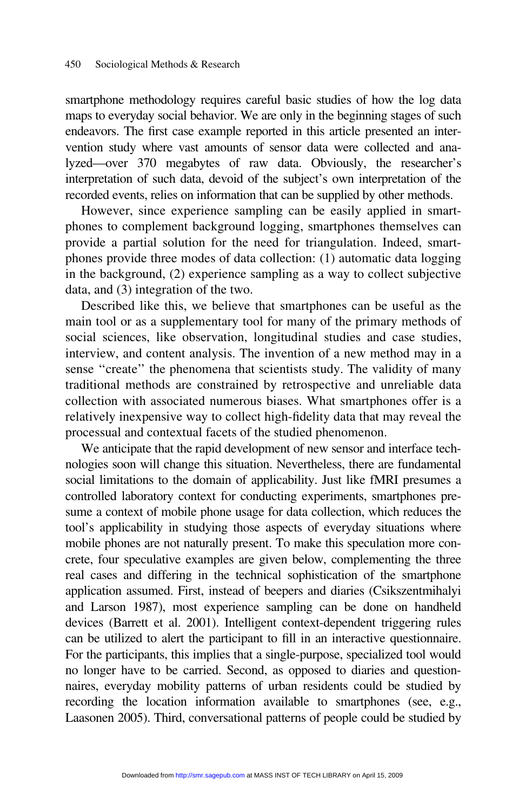smartphone methodology requires careful basic studies of how the log data maps to everyday social behavior. We are only in the beginning stages of such endeavors. The first case example reported in this article presented an intervention study where vast amounts of sensor data were collected and analyzed—over 370 megabytes of raw data. Obviously, the researcher's interpretation of such data, devoid of the subject's own interpretation of the recorded events, relies on information that can be supplied by other methods.

However, since experience sampling can be easily applied in smartphones to complement background logging, smartphones themselves can provide a partial solution for the need for triangulation. Indeed, smartphones provide three modes of data collection: (1) automatic data logging in the background, (2) experience sampling as a way to collect subjective data, and (3) integration of the two.

Described like this, we believe that smartphones can be useful as the main tool or as a supplementary tool for many of the primary methods of social sciences, like observation, longitudinal studies and case studies, interview, and content analysis. The invention of a new method may in a sense "create" the phenomena that scientists study. The validity of many traditional methods are constrained by retrospective and unreliable data collection with associated numerous biases. What smartphones offer is a relatively inexpensive way to collect high-fidelity data that may reveal the processual and contextual facets of the studied phenomenon.

We anticipate that the rapid development of new sensor and interface technologies soon will change this situation. Nevertheless, there are fundamental social limitations to the domain of applicability. Just like fMRI presumes a controlled laboratory context for conducting experiments, smartphones presume a context of mobile phone usage for data collection, which reduces the tool's applicability in studying those aspects of everyday situations where mobile phones are not naturally present. To make this speculation more concrete, four speculative examples are given below, complementing the three real cases and differing in the technical sophistication of the smartphone application assumed. First, instead of beepers and diaries (Csikszentmihalyi and Larson 1987), most experience sampling can be done on handheld devices (Barrett et al. 2001). Intelligent context-dependent triggering rules can be utilized to alert the participant to fill in an interactive questionnaire. For the participants, this implies that a single-purpose, specialized tool would no longer have to be carried. Second, as opposed to diaries and questionnaires, everyday mobility patterns of urban residents could be studied by recording the location information available to smartphones (see, e.g., Laasonen 2005). Third, conversational patterns of people could be studied by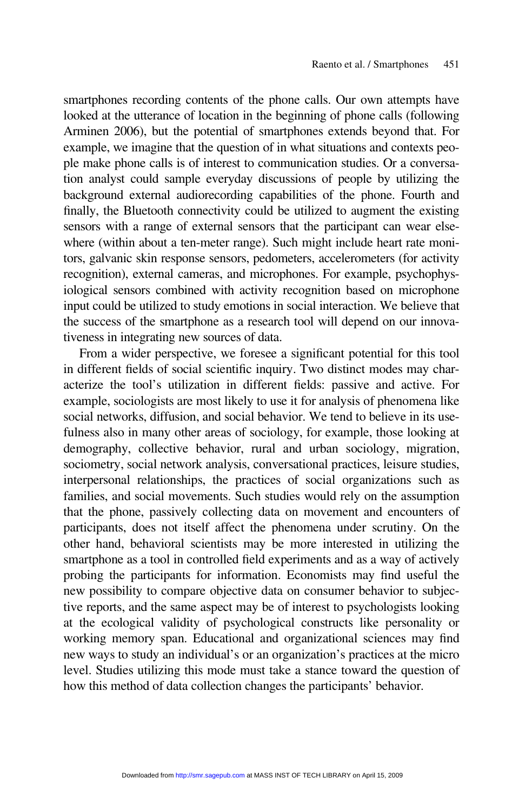smartphones recording contents of the phone calls. Our own attempts have looked at the utterance of location in the beginning of phone calls (following Arminen 2006), but the potential of smartphones extends beyond that. For example, we imagine that the question of in what situations and contexts people make phone calls is of interest to communication studies. Or a conversation analyst could sample everyday discussions of people by utilizing the background external audiorecording capabilities of the phone. Fourth and finally, the Bluetooth connectivity could be utilized to augment the existing sensors with a range of external sensors that the participant can wear elsewhere (within about a ten-meter range). Such might include heart rate monitors, galvanic skin response sensors, pedometers, accelerometers (for activity recognition), external cameras, and microphones. For example, psychophysiological sensors combined with activity recognition based on microphone input could be utilized to study emotions in social interaction. We believe that the success of the smartphone as a research tool will depend on our innovativeness in integrating new sources of data.

From a wider perspective, we foresee a significant potential for this tool in different fields of social scientific inquiry. Two distinct modes may characterize the tool's utilization in different fields: passive and active. For example, sociologists are most likely to use it for analysis of phenomena like social networks, diffusion, and social behavior. We tend to believe in its usefulness also in many other areas of sociology, for example, those looking at demography, collective behavior, rural and urban sociology, migration, sociometry, social network analysis, conversational practices, leisure studies, interpersonal relationships, the practices of social organizations such as families, and social movements. Such studies would rely on the assumption that the phone, passively collecting data on movement and encounters of participants, does not itself affect the phenomena under scrutiny. On the other hand, behavioral scientists may be more interested in utilizing the smartphone as a tool in controlled field experiments and as a way of actively probing the participants for information. Economists may find useful the new possibility to compare objective data on consumer behavior to subjective reports, and the same aspect may be of interest to psychologists looking at the ecological validity of psychological constructs like personality or working memory span. Educational and organizational sciences may find new ways to study an individual's or an organization's practices at the micro level. Studies utilizing this mode must take a stance toward the question of how this method of data collection changes the participants' behavior.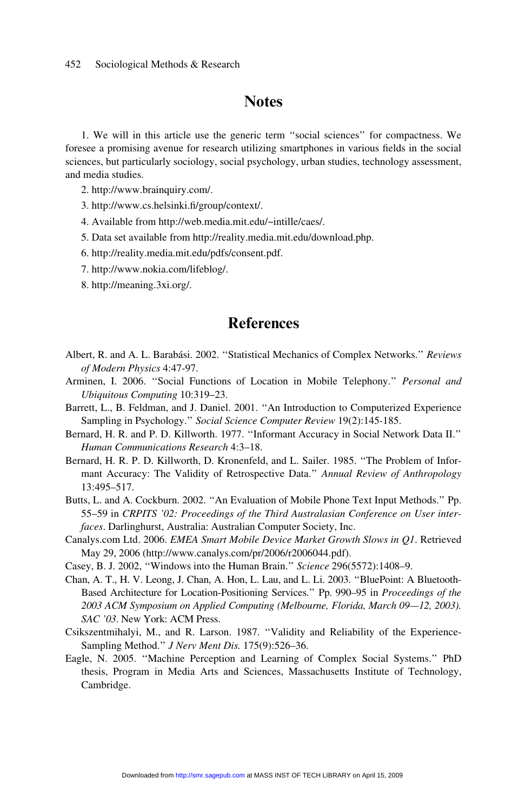#### 452 Sociological Methods & Research

#### **Notes**

1. We will in this article use the generic term ''social sciences'' for compactness. We foresee a promising avenue for research utilizing smartphones in various fields in the social sciences, but particularly sociology, social psychology, urban studies, technology assessment, and media studies.

- 2. http://www.brainquiry.com/.
- 3. http://www.cs.helsinki.fi/group/context/.
- 4. Available from http://web.media.mit.edu/~intille/caes/.
- 5. Data set available from http://reality.media.mit.edu/download.php.
- 6. http://reality.media.mit.edu/pdfs/consent.pdf.
- 7. http://www.nokia.com/lifeblog/.
- 8. http://meaning.3xi.org/.

#### **References**

- Albert, R. and A. L. Barabási. 2002. "Statistical Mechanics of Complex Networks." Reviews of Modern Physics 4:47-97.
- Arminen, I. 2006. ''Social Functions of Location in Mobile Telephony.'' Personal and Ubiquitous Computing 10:319–23.
- Barrett, L., B. Feldman, and J. Daniel. 2001. ''An Introduction to Computerized Experience Sampling in Psychology.'' Social Science Computer Review 19(2):145-185.
- Bernard, H. R. and P. D. Killworth. 1977. ''Informant Accuracy in Social Network Data II.'' Human Communications Research 4:3–18.
- Bernard, H. R. P. D. Killworth, D. Kronenfeld, and L. Sailer. 1985. ''The Problem of Informant Accuracy: The Validity of Retrospective Data." Annual Review of Anthropology 13:495–517.
- Butts, L. and A. Cockburn. 2002. ''An Evaluation of Mobile Phone Text Input Methods.'' Pp. 55–59 in CRPITS '02: Proceedings of the Third Australasian Conference on User interfaces. Darlinghurst, Australia: Australian Computer Society, Inc.
- Canalys.com Ltd. 2006. EMEA Smart Mobile Device Market Growth Slows in Q1. Retrieved May 29, 2006 (http://www.canalys.com/pr/2006/r2006044.pdf).
- Casey, B. J. 2002, ''Windows into the Human Brain.'' Science 296(5572):1408–9.
- Chan, A. T., H. V. Leong, J. Chan, A. Hon, L. Lau, and L. Li. 2003. ''BluePoint: A Bluetooth-Based Architecture for Location-Positioning Services.'' Pp. 990–95 in Proceedings of the 2003 ACM Symposium on Applied Computing (Melbourne, Florida, March 09—12, 2003). SAC '03. New York: ACM Press.
- Csikszentmihalyi, M., and R. Larson. 1987. ''Validity and Reliability of the Experience-Sampling Method.'' J Nerv Ment Dis. 175(9):526–36.
- Eagle, N. 2005. ''Machine Perception and Learning of Complex Social Systems.'' PhD thesis, Program in Media Arts and Sciences, Massachusetts Institute of Technology, Cambridge.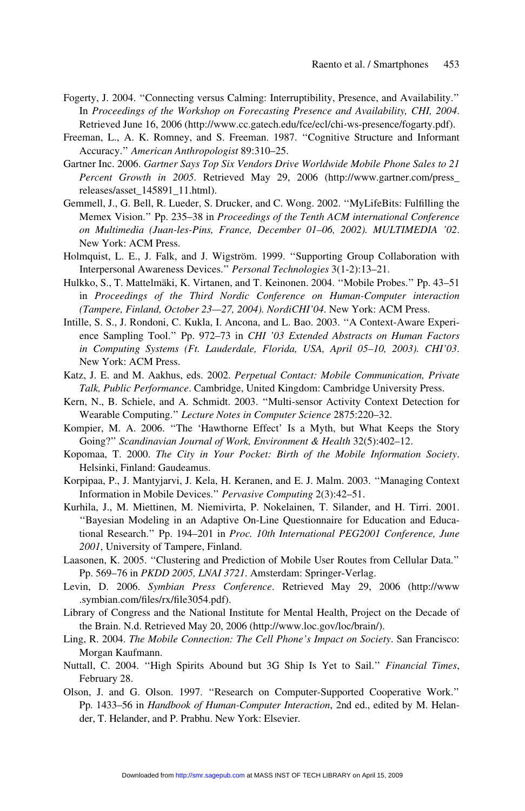- Fogerty, J. 2004. ''Connecting versus Calming: Interruptibility, Presence, and Availability.'' In Proceedings of the Workshop on Forecasting Presence and Availability, CHI, 2004. Retrieved June 16, 2006 (http://www.cc.gatech.edu/fce/ecl/chi-ws-presence/fogarty.pdf).
- Freeman, L., A. K. Romney, and S. Freeman. 1987. ''Cognitive Structure and Informant Accuracy.'' American Anthropologist 89:310–25.
- Gartner Inc. 2006. Gartner Says Top Six Vendors Drive Worldwide Mobile Phone Sales to 21 Percent Growth in 2005. Retrieved May 29, 2006 (http://www.gartner.com/press\_ releases/asset\_145891\_11.html).
- Gemmell, J., G. Bell, R. Lueder, S. Drucker, and C. Wong. 2002. ''MyLifeBits: Fulfilling the Memex Vision.'' Pp. 235–38 in Proceedings of the Tenth ACM international Conference on Multimedia (Juan-les-Pins, France, December 01–06, 2002). MULTIMEDIA '02. New York: ACM Press.
- Holmquist, L. E., J. Falk, and J. Wigström. 1999. "Supporting Group Collaboration with Interpersonal Awareness Devices.'' Personal Technologies 3(1-2):13–21.
- Hulkko, S., T. Mattelmäki, K. Virtanen, and T. Keinonen. 2004. "Mobile Probes." Pp. 43–51 in Proceedings of the Third Nordic Conference on Human-Computer interaction (Tampere, Finland, October 23—27, 2004). NordiCHI'04. New York: ACM Press.
- Intille, S. S., J. Rondoni, C. Kukla, I. Ancona, and L. Bao. 2003. ''A Context-Aware Experience Sampling Tool.'' Pp. 972–73 in CHI '03 Extended Abstracts on Human Factors in Computing Systems (Ft. Lauderdale, Florida, USA, April 05–10, 2003). CHI'03. New York: ACM Press.
- Katz, J. E. and M. Aakhus, eds. 2002. Perpetual Contact: Mobile Communication, Private Talk, Public Performance. Cambridge, United Kingdom: Cambridge University Press.
- Kern, N., B. Schiele, and A. Schmidt. 2003. ''Multi-sensor Activity Context Detection for Wearable Computing.'' Lecture Notes in Computer Science 2875:220–32.
- Kompier, M. A. 2006. ''The 'Hawthorne Effect' Is a Myth, but What Keeps the Story Going?'' Scandinavian Journal of Work, Environment & Health 32(5):402–12.
- Kopomaa, T. 2000. The City in Your Pocket: Birth of the Mobile Information Society. Helsinki, Finland: Gaudeamus.
- Korpipaa, P., J. Mantyjarvi, J. Kela, H. Keranen, and E. J. Malm. 2003. ''Managing Context Information in Mobile Devices.'' Pervasive Computing 2(3):42–51.
- Kurhila, J., M. Miettinen, M. Niemivirta, P. Nokelainen, T. Silander, and H. Tirri. 2001. ''Bayesian Modeling in an Adaptive On-Line Questionnaire for Education and Educational Research.'' Pp. 194–201 in Proc. 10th International PEG2001 Conference, June 2001, University of Tampere, Finland.
- Laasonen, K. 2005. ''Clustering and Prediction of Mobile User Routes from Cellular Data.'' Pp. 569–76 in PKDD 2005, LNAI 3721. Amsterdam: Springer-Verlag.
- Levin, D. 2006. Symbian Press Conference. Retrieved May 29, 2006 (http://www .symbian.com/files/rx/file3054.pdf).
- Library of Congress and the National Institute for Mental Health, Project on the Decade of the Brain. N.d. Retrieved May 20, 2006 (http://www.loc.gov/loc/brain/).
- Ling, R. 2004. The Mobile Connection: The Cell Phone's Impact on Society. San Francisco: Morgan Kaufmann.
- Nuttall, C. 2004. "High Spirits Abound but 3G Ship Is Yet to Sail." Financial Times, February 28.
- Olson, J. and G. Olson. 1997. ''Research on Computer-Supported Cooperative Work.'' Pp. 1433–56 in Handbook of Human-Computer Interaction, 2nd ed., edited by M. Helander, T. Helander, and P. Prabhu. New York: Elsevier.